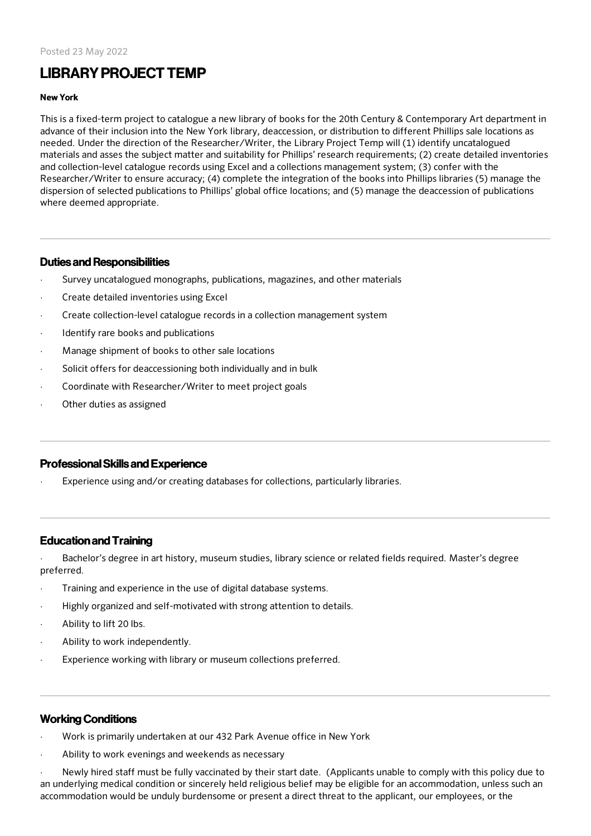# LIBRARYPROJECT TEMP

#### New York

This is a fixed-term project to catalogue a new library of books for the 20th Century & Contemporary Art department in advance of their inclusion into the New York library, deaccession, or distribution to different Phillips sale locations as needed. Under the direction of the Researcher/Writer, the Library Project Temp will (1) identify uncatalogued materials and asses the subject matter and suitability for Phillips' research requirements; (2) create detailed inventories and collection-level catalogue records using Excel and a collections management system; (3) confer with the Researcher/Writer to ensure accuracy; (4) complete the integration of the books into Phillips libraries (5) manage the dispersion of selected publications to Phillips' global office locations; and (5) manage the deaccession of publications where deemed appropriate.

### Duties and Responsibilities

- Survey uncatalogued monographs, publications, magazines, and other materials
- · Create detailed inventories using Excel
- · Create collection-level catalogue records in a collection management system
- Identify rare books and publications
- Manage shipment of books to other sale locations
- Solicit offers for deaccessioning both individually and in bulk
- Coordinate with Researcher/Writer to meet project goals
- Other duties as assigned

#### ProfessionalSkills and Experience

Experience using and/or creating databases for collections, particularly libraries.

## Educationand Training

Bachelor's degree in art history, museum studies, library science or related fields required. Master's degree preferred.

- Training and experience in the use of digital database systems.
- · Highly organized and self-motivated with strong attention to details.
- Ability to lift 20 lbs.
- Ability to work independently.
- Experience working with library or museum collections preferred.

## Working Conditions

- · Work is primarily undertaken at our 432 Park Avenue office in New York
- Ability to work evenings and weekends as necessary

Newly hired staff must be fully vaccinated by their start date. (Applicants unable to comply with this policy due to an underlying medical condition or sincerely held religious belief may be eligible for an accommodation, unless such an accommodation would be unduly burdensome or present a direct threat to the applicant, our employees, or the